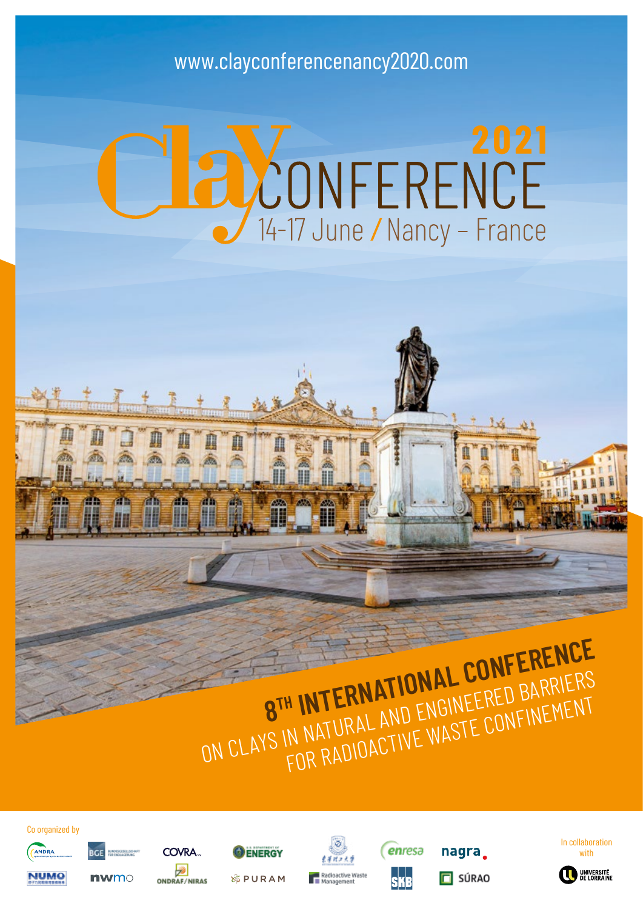# www.clayconferencenancy2020.com

# **POONFERENCE**

# **8<sup>TH</sup> INTERNATIONAL CONFERENCE**<br>ON CLAYS IN NATURAL AND ENGINEERED BARRIERS<br>ON CLAYS IN NATURAL AND ENGINEERED BARRIERS H IN LEAND ENGINEERED FINEMENT<br>N NATURAL AND ENGINEERED FINEMENT<br>FOR RADIOACTIVE WASTE CONFINEMENT

enresa

SKR

dioactive Waste<br>inagement

nagra.

 $\Box$  SÚRAO







Co organized by



**NUMO** 

**DCC** 

 $<sub>m</sub>$ </sub>







COVRA.

**ENERGY** 

**&PURAM** 



**ONDRAF/NIRAS**